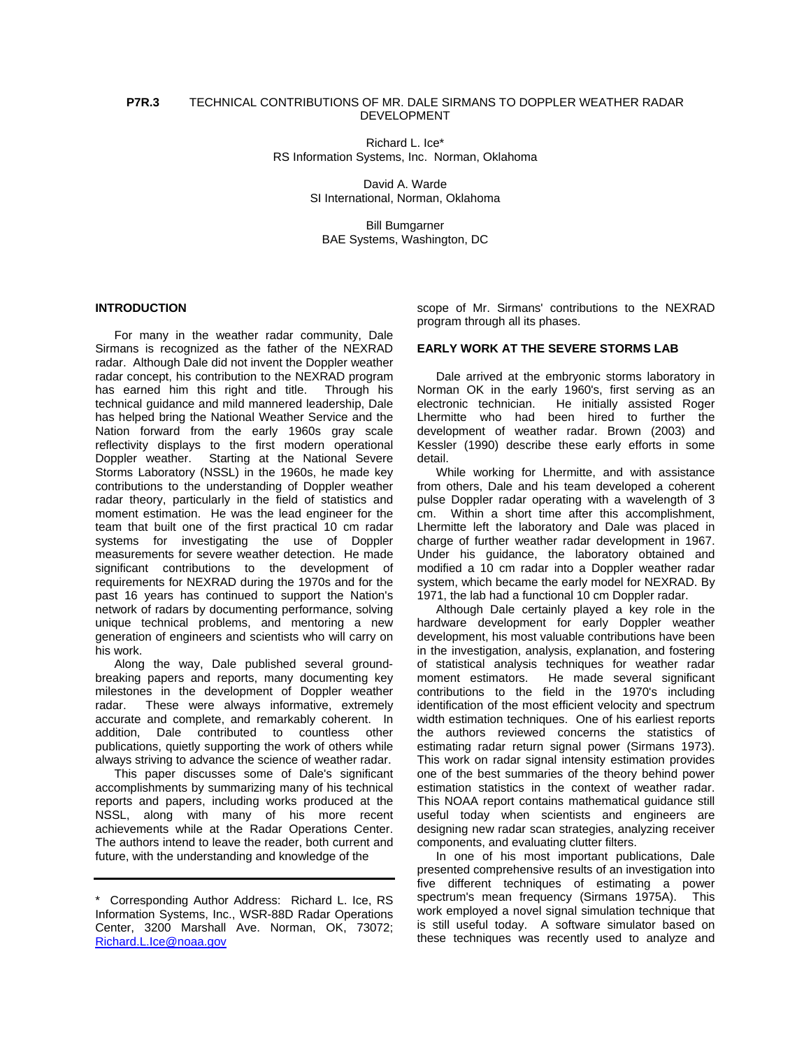Richard L. Ice\* RS Information Systems, Inc. Norman, Oklahoma

> David A. Warde SI International, Norman, Oklahoma

Bill Bumgarner BAE Systems, Washington, DC

#### **INTRODUCTION**

For many in the weather radar community, Dale Sirmans is recognized as the father of the NEXRAD radar. Although Dale did not invent the Doppler weather radar concept, his contribution to the NEXRAD program has earned him this right and title. Through his technical guidance and mild mannered leadership, Dale has helped bring the National Weather Service and the Nation forward from the early 1960s gray scale reflectivity displays to the first modern operational Doppler weather. Starting at the National Severe Storms Laboratory (NSSL) in the 1960s, he made key contributions to the understanding of Doppler weather radar theory, particularly in the field of statistics and moment estimation. He was the lead engineer for the team that built one of the first practical 10 cm radar systems for investigating the use of Doppler measurements for severe weather detection. He made significant contributions to the development of requirements for NEXRAD during the 1970s and for the past 16 years has continued to support the Nation's network of radars by documenting performance, solving unique technical problems, and mentoring a new generation of engineers and scientists who will carry on his work.

Along the way, Dale published several groundbreaking papers and reports, many documenting key milestones in the development of Doppler weather radar. These were always informative, extremely accurate and complete, and remarkably coherent. In addition, Dale contributed to countless other publications, quietly supporting the work of others while always striving to advance the science of weather radar.

This paper discusses some of Dale's significant accomplishments by summarizing many of his technical reports and papers, including works produced at the NSSL, along with many of his more recent achievements while at the Radar Operations Center. The authors intend to leave the reader, both current and future, with the understanding and knowledge of the

scope of Mr. Sirmans' contributions to the NEXRAD program through all its phases.

#### **EARLY WORK AT THE SEVERE STORMS LAB**

Dale arrived at the embryonic storms laboratory in Norman OK in the early 1960's, first serving as an electronic technician. He initially assisted Roger Lhermitte who had been hired to further the development of weather radar. Brown (2003) and Kessler (1990) describe these early efforts in some detail.

While working for Lhermitte, and with assistance from others, Dale and his team developed a coherent pulse Doppler radar operating with a wavelength of 3 cm. Within a short time after this accomplishment, Lhermitte left the laboratory and Dale was placed in charge of further weather radar development in 1967. Under his guidance, the laboratory obtained and modified a 10 cm radar into a Doppler weather radar system, which became the early model for NEXRAD. By 1971, the lab had a functional 10 cm Doppler radar.

Although Dale certainly played a key role in the hardware development for early Doppler weather development, his most valuable contributions have been in the investigation, analysis, explanation, and fostering of statistical analysis techniques for weather radar moment estimators. He made several significant contributions to the field in the 1970's including identification of the most efficient velocity and spectrum width estimation techniques. One of his earliest reports the authors reviewed concerns the statistics of estimating radar return signal power (Sirmans 1973). This work on radar signal intensity estimation provides one of the best summaries of the theory behind power estimation statistics in the context of weather radar. This NOAA report contains mathematical guidance still useful today when scientists and engineers are designing new radar scan strategies, analyzing receiver components, and evaluating clutter filters.

In one of his most important publications, Dale presented comprehensive results of an investigation into five different techniques of estimating a power spectrum's mean frequency (Sirmans 1975A). This work employed a novel signal simulation technique that is still useful today. A software simulator based on these techniques was recently used to analyze and

<sup>\*</sup> Corresponding Author Address: Richard L. Ice, RS Information Systems, Inc., WSR-88D Radar Operations Center, 3200 Marshall Ave. Norman, OK, 73072; [Richard.L.Ice@noaa.gov](mailto:Richard.L.Ice@noaa.gov)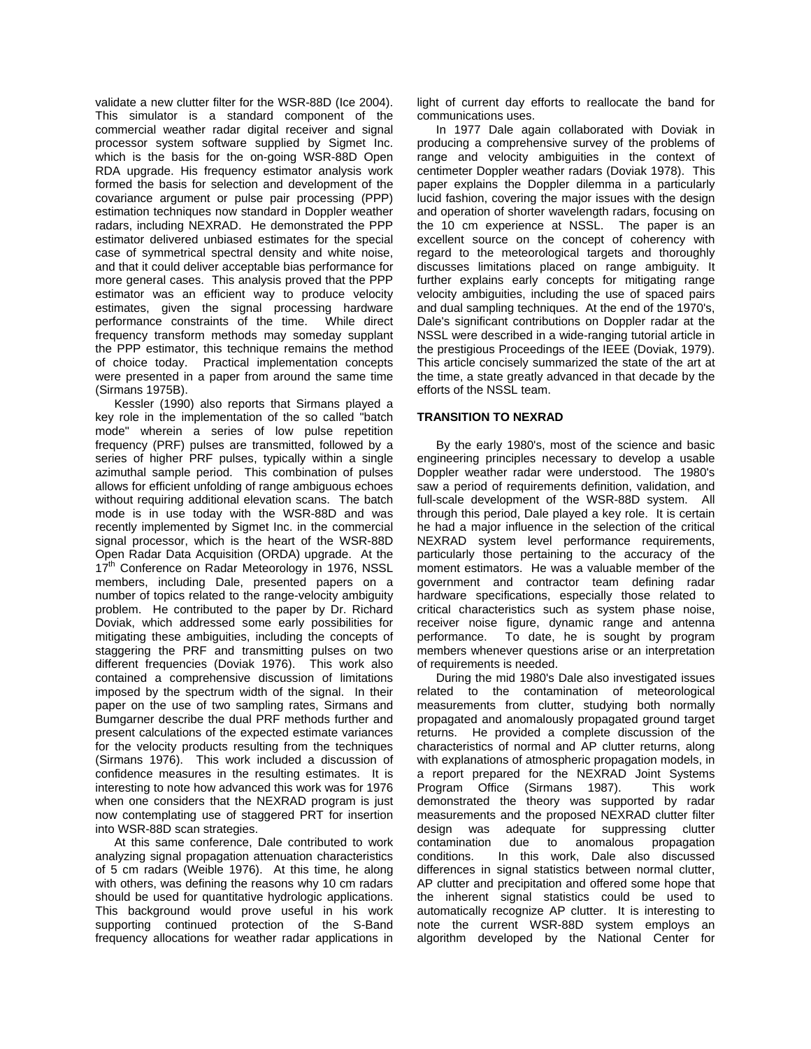validate a new clutter filter for the WSR-88D (Ice 2004). This simulator is a standard component of the commercial weather radar digital receiver and signal processor system software supplied by Sigmet Inc. which is the basis for the on-going WSR-88D Open RDA upgrade. His frequency estimator analysis work formed the basis for selection and development of the covariance argument or pulse pair processing (PPP) estimation techniques now standard in Doppler weather radars, including NEXRAD. He demonstrated the PPP estimator delivered unbiased estimates for the special case of symmetrical spectral density and white noise, and that it could deliver acceptable bias performance for more general cases. This analysis proved that the PPP estimator was an efficient way to produce velocity estimates, given the signal processing hardware performance constraints of the time. While direct frequency transform methods may someday supplant the PPP estimator, this technique remains the method of choice today. Practical implementation concepts were presented in a paper from around the same time (Sirmans 1975B).

Kessler (1990) also reports that Sirmans played a key role in the implementation of the so called "batch mode" wherein a series of low pulse repetition frequency (PRF) pulses are transmitted, followed by a series of higher PRF pulses, typically within a single azimuthal sample period. This combination of pulses allows for efficient unfolding of range ambiguous echoes without requiring additional elevation scans. The batch mode is in use today with the WSR-88D and was recently implemented by Sigmet Inc. in the commercial signal processor, which is the heart of the WSR-88D Open Radar Data Acquisition (ORDA) upgrade. At the 17<sup>th</sup> Conference on Radar Meteorology in 1976, NSSL members, including Dale, presented papers on a number of topics related to the range-velocity ambiguity problem. He contributed to the paper by Dr. Richard Doviak, which addressed some early possibilities for mitigating these ambiguities, including the concepts of staggering the PRF and transmitting pulses on two different frequencies (Doviak 1976). This work also contained a comprehensive discussion of limitations imposed by the spectrum width of the signal. In their paper on the use of two sampling rates, Sirmans and Bumgarner describe the dual PRF methods further and present calculations of the expected estimate variances for the velocity products resulting from the techniques (Sirmans 1976). This work included a discussion of confidence measures in the resulting estimates. It is interesting to note how advanced this work was for 1976 when one considers that the NEXRAD program is just now contemplating use of staggered PRT for insertion into WSR-88D scan strategies.

At this same conference, Dale contributed to work analyzing signal propagation attenuation characteristics of 5 cm radars (Weible 1976). At this time, he along with others, was defining the reasons why 10 cm radars should be used for quantitative hydrologic applications. This background would prove useful in his work supporting continued protection of the S-Band frequency allocations for weather radar applications in

light of current day efforts to reallocate the band for communications uses.

In 1977 Dale again collaborated with Doviak in producing a comprehensive survey of the problems of range and velocity ambiguities in the context of centimeter Doppler weather radars (Doviak 1978). This paper explains the Doppler dilemma in a particularly lucid fashion, covering the major issues with the design and operation of shorter wavelength radars, focusing on the 10 cm experience at NSSL. The paper is an excellent source on the concept of coherency with regard to the meteorological targets and thoroughly discusses limitations placed on range ambiguity. It further explains early concepts for mitigating range velocity ambiguities, including the use of spaced pairs and dual sampling techniques. At the end of the 1970's, Dale's significant contributions on Doppler radar at the NSSL were described in a wide-ranging tutorial article in the prestigious Proceedings of the IEEE (Doviak, 1979). This article concisely summarized the state of the art at the time, a state greatly advanced in that decade by the efforts of the NSSL team.

## **TRANSITION TO NEXRAD**

By the early 1980's, most of the science and basic engineering principles necessary to develop a usable Doppler weather radar were understood. The 1980's saw a period of requirements definition, validation, and full-scale development of the WSR-88D system. All through this period, Dale played a key role. It is certain he had a major influence in the selection of the critical NEXRAD system level performance requirements, particularly those pertaining to the accuracy of the moment estimators. He was a valuable member of the government and contractor team defining radar hardware specifications, especially those related to critical characteristics such as system phase noise, receiver noise figure, dynamic range and antenna performance. To date, he is sought by program members whenever questions arise or an interpretation of requirements is needed.

During the mid 1980's Dale also investigated issues related to the contamination of meteorological measurements from clutter, studying both normally propagated and anomalously propagated ground target returns. He provided a complete discussion of the characteristics of normal and AP clutter returns, along with explanations of atmospheric propagation models, in a report prepared for the NEXRAD Joint Systems Program Office (Sirmans 1987). This work demonstrated the theory was supported by radar measurements and the proposed NEXRAD clutter filter design was adequate for suppressing clutter contamination due to anomalous propagation conditions. In this work, Dale also discussed differences in signal statistics between normal clutter, AP clutter and precipitation and offered some hope that the inherent signal statistics could be used to automatically recognize AP clutter. It is interesting to note the current WSR-88D system employs an algorithm developed by the National Center for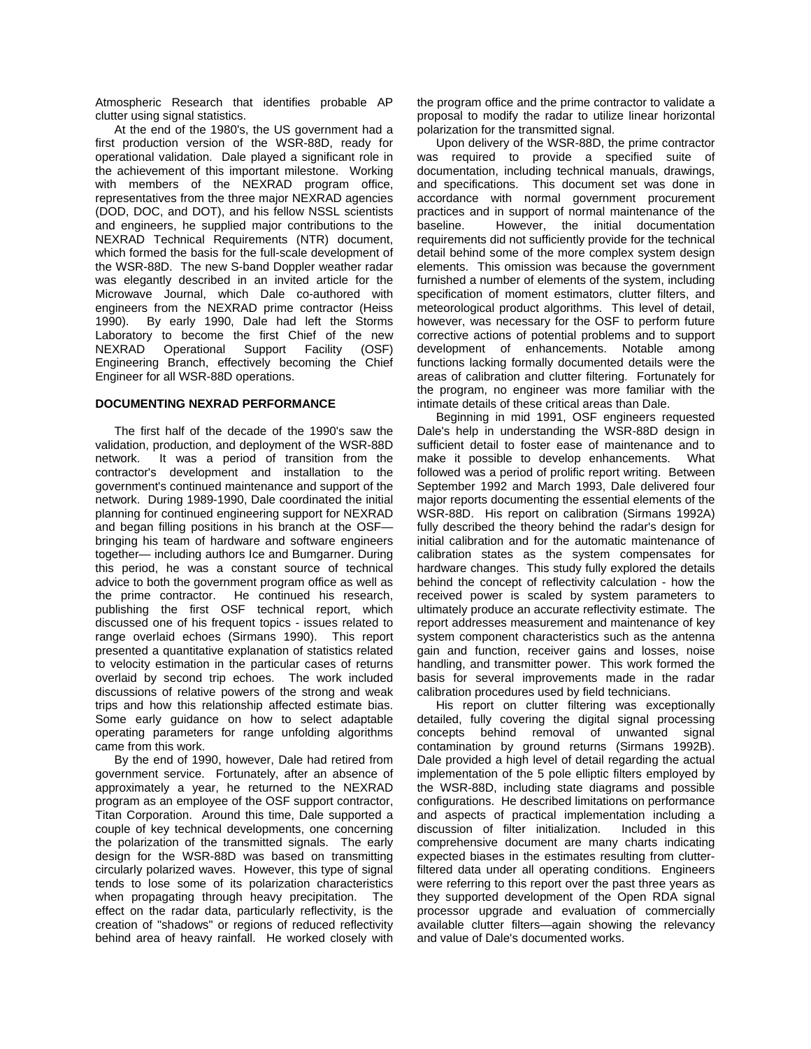Atmospheric Research that identifies probable AP clutter using signal statistics.

At the end of the 1980's, the US government had a first production version of the WSR-88D, ready for operational validation. Dale played a significant role in the achievement of this important milestone. Working with members of the NEXRAD program office, representatives from the three major NEXRAD agencies (DOD, DOC, and DOT), and his fellow NSSL scientists and engineers, he supplied major contributions to the NEXRAD Technical Requirements (NTR) document, which formed the basis for the full-scale development of the WSR-88D. The new S-band Doppler weather radar was elegantly described in an invited article for the Microwave Journal, which Dale co-authored with engineers from the NEXRAD prime contractor (Heiss 1990). By early 1990, Dale had left the Storms Laboratory to become the first Chief of the new NEXRAD Operational Support Facility (OSF) Engineering Branch, effectively becoming the Chief Engineer for all WSR-88D operations.

# **DOCUMENTING NEXRAD PERFORMANCE**

The first half of the decade of the 1990's saw the validation, production, and deployment of the WSR-88D network. It was a period of transition from the contractor's development and installation to the government's continued maintenance and support of the network. During 1989-1990, Dale coordinated the initial planning for continued engineering support for NEXRAD and began filling positions in his branch at the OSF bringing his team of hardware and software engineers together— including authors Ice and Bumgarner. During this period, he was a constant source of technical advice to both the government program office as well as the prime contractor. He continued his research, publishing the first OSF technical report, which discussed one of his frequent topics - issues related to range overlaid echoes (Sirmans 1990). This report presented a quantitative explanation of statistics related to velocity estimation in the particular cases of returns overlaid by second trip echoes. The work included discussions of relative powers of the strong and weak trips and how this relationship affected estimate bias. Some early guidance on how to select adaptable operating parameters for range unfolding algorithms came from this work.

By the end of 1990, however, Dale had retired from government service. Fortunately, after an absence of approximately a year, he returned to the NEXRAD program as an employee of the OSF support contractor, Titan Corporation. Around this time, Dale supported a couple of key technical developments, one concerning the polarization of the transmitted signals. The early design for the WSR-88D was based on transmitting circularly polarized waves. However, this type of signal tends to lose some of its polarization characteristics when propagating through heavy precipitation. The effect on the radar data, particularly reflectivity, is the creation of "shadows" or regions of reduced reflectivity behind area of heavy rainfall. He worked closely with

the program office and the prime contractor to validate a proposal to modify the radar to utilize linear horizontal polarization for the transmitted signal.

Upon delivery of the WSR-88D, the prime contractor was required to provide a specified suite of documentation, including technical manuals, drawings, and specifications. This document set was done in accordance with normal government procurement practices and in support of normal maintenance of the baseline. However, the initial documentation requirements did not sufficiently provide for the technical detail behind some of the more complex system design elements. This omission was because the government furnished a number of elements of the system, including specification of moment estimators, clutter filters, and meteorological product algorithms. This level of detail, however, was necessary for the OSF to perform future corrective actions of potential problems and to support development of enhancements. Notable among functions lacking formally documented details were the areas of calibration and clutter filtering. Fortunately for the program, no engineer was more familiar with the intimate details of these critical areas than Dale.

Beginning in mid 1991, OSF engineers requested Dale's help in understanding the WSR-88D design in sufficient detail to foster ease of maintenance and to make it possible to develop enhancements. What followed was a period of prolific report writing. Between September 1992 and March 1993, Dale delivered four major reports documenting the essential elements of the WSR-88D. His report on calibration (Sirmans 1992A) fully described the theory behind the radar's design for initial calibration and for the automatic maintenance of calibration states as the system compensates for hardware changes. This study fully explored the details behind the concept of reflectivity calculation - how the received power is scaled by system parameters to ultimately produce an accurate reflectivity estimate. The report addresses measurement and maintenance of key system component characteristics such as the antenna gain and function, receiver gains and losses, noise handling, and transmitter power. This work formed the basis for several improvements made in the radar calibration procedures used by field technicians.

His report on clutter filtering was exceptionally detailed, fully covering the digital signal processing concepts behind removal of unwanted signal contamination by ground returns (Sirmans 1992B). Dale provided a high level of detail regarding the actual implementation of the 5 pole elliptic filters employed by the WSR-88D, including state diagrams and possible configurations. He described limitations on performance and aspects of practical implementation including a discussion of filter initialization. Included in this comprehensive document are many charts indicating expected biases in the estimates resulting from clutterfiltered data under all operating conditions. Engineers were referring to this report over the past three years as they supported development of the Open RDA signal processor upgrade and evaluation of commercially available clutter filters—again showing the relevancy and value of Dale's documented works.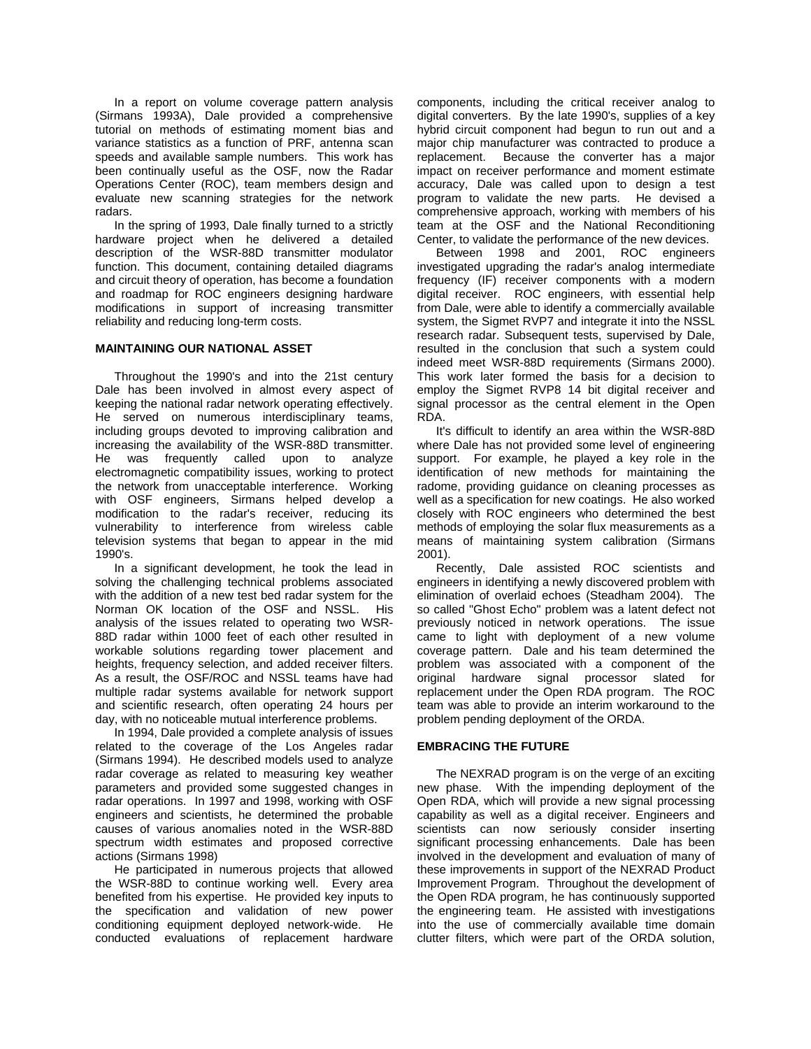In a report on volume coverage pattern analysis (Sirmans 1993A), Dale provided a comprehensive tutorial on methods of estimating moment bias and variance statistics as a function of PRF, antenna scan speeds and available sample numbers. This work has been continually useful as the OSF, now the Radar Operations Center (ROC), team members design and evaluate new scanning strategies for the network radars.

In the spring of 1993, Dale finally turned to a strictly hardware project when he delivered a detailed description of the WSR-88D transmitter modulator function. This document, containing detailed diagrams and circuit theory of operation, has become a foundation and roadmap for ROC engineers designing hardware modifications in support of increasing transmitter reliability and reducing long-term costs.

### **MAINTAINING OUR NATIONAL ASSET**

Throughout the 1990's and into the 21st century Dale has been involved in almost every aspect of keeping the national radar network operating effectively. He served on numerous interdisciplinary teams, including groups devoted to improving calibration and increasing the availability of the WSR-88D transmitter. He was frequently called upon to analyze electromagnetic compatibility issues, working to protect the network from unacceptable interference. Working with OSF engineers, Sirmans helped develop a modification to the radar's receiver, reducing its vulnerability to interference from wireless cable television systems that began to appear in the mid 1990's.

In a significant development, he took the lead in solving the challenging technical problems associated with the addition of a new test bed radar system for the Norman OK location of the OSF and NSSL. His analysis of the issues related to operating two WSR-88D radar within 1000 feet of each other resulted in workable solutions regarding tower placement and heights, frequency selection, and added receiver filters. As a result, the OSF/ROC and NSSL teams have had multiple radar systems available for network support and scientific research, often operating 24 hours per day, with no noticeable mutual interference problems.

In 1994, Dale provided a complete analysis of issues related to the coverage of the Los Angeles radar (Sirmans 1994). He described models used to analyze radar coverage as related to measuring key weather parameters and provided some suggested changes in radar operations. In 1997 and 1998, working with OSF engineers and scientists, he determined the probable causes of various anomalies noted in the WSR-88D spectrum width estimates and proposed corrective actions (Sirmans 1998)

He participated in numerous projects that allowed the WSR-88D to continue working well. Every area benefited from his expertise. He provided key inputs to the specification and validation of new power conditioning equipment deployed network-wide. He conducted evaluations of replacement hardware

components, including the critical receiver analog to digital converters. By the late 1990's, supplies of a key hybrid circuit component had begun to run out and a major chip manufacturer was contracted to produce a replacement. Because the converter has a major impact on receiver performance and moment estimate accuracy, Dale was called upon to design a test program to validate the new parts. He devised a comprehensive approach, working with members of his team at the OSF and the National Reconditioning Center, to validate the performance of the new devices.

Between 1998 and 2001, ROC engineers investigated upgrading the radar's analog intermediate frequency (IF) receiver components with a modern digital receiver. ROC engineers, with essential help from Dale, were able to identify a commercially available system, the Sigmet RVP7 and integrate it into the NSSL research radar. Subsequent tests, supervised by Dale, resulted in the conclusion that such a system could indeed meet WSR-88D requirements (Sirmans 2000). This work later formed the basis for a decision to employ the Sigmet RVP8 14 bit digital receiver and signal processor as the central element in the Open RDA.

It's difficult to identify an area within the WSR-88D where Dale has not provided some level of engineering support. For example, he played a key role in the identification of new methods for maintaining the radome, providing guidance on cleaning processes as well as a specification for new coatings. He also worked closely with ROC engineers who determined the best methods of employing the solar flux measurements as a means of maintaining system calibration (Sirmans 2001).

Recently, Dale assisted ROC scientists and engineers in identifying a newly discovered problem with elimination of overlaid echoes (Steadham 2004). The so called "Ghost Echo" problem was a latent defect not previously noticed in network operations. The issue came to light with deployment of a new volume coverage pattern. Dale and his team determined the problem was associated with a component of the original hardware signal processor slated for replacement under the Open RDA program. The ROC team was able to provide an interim workaround to the problem pending deployment of the ORDA.

### **EMBRACING THE FUTURE**

The NEXRAD program is on the verge of an exciting new phase. With the impending deployment of the Open RDA, which will provide a new signal processing capability as well as a digital receiver. Engineers and scientists can now seriously consider inserting significant processing enhancements. Dale has been involved in the development and evaluation of many of these improvements in support of the NEXRAD Product Improvement Program. Throughout the development of the Open RDA program, he has continuously supported the engineering team. He assisted with investigations into the use of commercially available time domain clutter filters, which were part of the ORDA solution,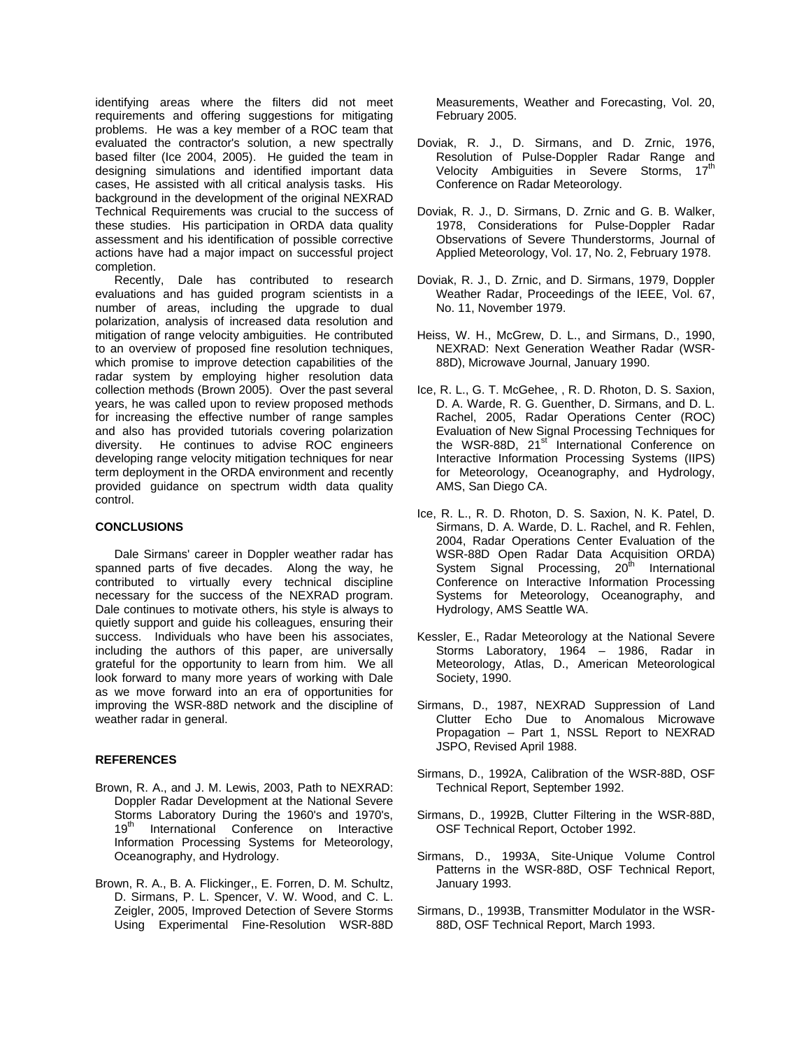identifying areas where the filters did not meet requirements and offering suggestions for mitigating problems. He was a key member of a ROC team that evaluated the contractor's solution, a new spectrally based filter (Ice 2004, 2005). He guided the team in designing simulations and identified important data cases, He assisted with all critical analysis tasks. His background in the development of the original NEXRAD Technical Requirements was crucial to the success of these studies. His participation in ORDA data quality assessment and his identification of possible corrective actions have had a major impact on successful project completion.

Recently, Dale has contributed to research evaluations and has guided program scientists in a number of areas, including the upgrade to dual polarization, analysis of increased data resolution and mitigation of range velocity ambiguities. He contributed to an overview of proposed fine resolution techniques, which promise to improve detection capabilities of the radar system by employing higher resolution data collection methods (Brown 2005). Over the past several years, he was called upon to review proposed methods for increasing the effective number of range samples and also has provided tutorials covering polarization diversity. He continues to advise ROC engineers developing range velocity mitigation techniques for near term deployment in the ORDA environment and recently provided guidance on spectrum width data quality control.

#### **CONCLUSIONS**

Dale Sirmans' career in Doppler weather radar has spanned parts of five decades. Along the way, he contributed to virtually every technical discipline necessary for the success of the NEXRAD program. Dale continues to motivate others, his style is always to quietly support and guide his colleagues, ensuring their success. Individuals who have been his associates, including the authors of this paper, are universally grateful for the opportunity to learn from him. We all look forward to many more years of working with Dale as we move forward into an era of opportunities for improving the WSR-88D network and the discipline of weather radar in general.

#### **REFERENCES**

- Brown, R. A., and J. M. Lewis, 2003, Path to NEXRAD: Doppler Radar Development at the National Severe Storms Laboratory During the 1960's and 1970's, 19<sup>th</sup> International Conference on Interactive Information Processing Systems for Meteorology, Oceanography, and Hydrology.
- Brown, R. A., B. A. Flickinger,, E. Forren, D. M. Schultz, D. Sirmans, P. L. Spencer, V. W. Wood, and C. L. Zeigler, 2005, Improved Detection of Severe Storms Using Experimental Fine-Resolution WSR-88D

Measurements, Weather and Forecasting, Vol. 20, February 2005.

- Doviak, R. J., D. Sirmans, and D. Zrnic, 1976, Resolution of Pulse-Doppler Radar Range and Velocity Ambiguities in Severe Storms, 17<sup>th</sup> Conference on Radar Meteorology.
- Doviak, R. J., D. Sirmans, D. Zrnic and G. B. Walker, 1978, Considerations for Pulse-Doppler Radar Observations of Severe Thunderstorms, Journal of Applied Meteorology, Vol. 17, No. 2, February 1978.
- Doviak, R. J., D. Zrnic, and D. Sirmans, 1979, Doppler Weather Radar, Proceedings of the IEEE, Vol. 67, No. 11, November 1979.
- Heiss, W. H., McGrew, D. L., and Sirmans, D., 1990, NEXRAD: Next Generation Weather Radar (WSR-88D), Microwave Journal, January 1990.
- Ice, R. L., G. T. McGehee, , R. D. Rhoton, D. S. Saxion, D. A. Warde, R. G. Guenther, D. Sirmans, and D. L. Rachel, 2005, Radar Operations Center (ROC) Evaluation of New Signal Processing Techniques for the WSR-88D, 21<sup>st</sup> International Conference on Interactive Information Processing Systems (IIPS) for Meteorology, Oceanography, and Hydrology, AMS, San Diego CA.
- Ice, R. L., R. D. Rhoton, D. S. Saxion, N. K. Patel, D. Sirmans, D. A. Warde, D. L. Rachel, and R. Fehlen, 2004, Radar Operations Center Evaluation of the WSR-88D Open Radar Data Acquisition ORDA) System Signal Processing, 20<sup>th</sup> International Conference on Interactive Information Processing Systems for Meteorology, Oceanography, and Hydrology, AMS Seattle WA.
- Kessler, E., Radar Meteorology at the National Severe Storms Laboratory, 1964 – 1986, Radar in Meteorology, Atlas, D., American Meteorological Society, 1990.
- Sirmans, D., 1987, NEXRAD Suppression of Land Clutter Echo Due to Anomalous Microwave Propagation – Part 1, NSSL Report to NEXRAD JSPO, Revised April 1988.
- Sirmans, D., 1992A, Calibration of the WSR-88D, OSF Technical Report, September 1992.
- Sirmans, D., 1992B, Clutter Filtering in the WSR-88D, OSF Technical Report, October 1992.
- Sirmans, D., 1993A, Site-Unique Volume Control Patterns in the WSR-88D, OSF Technical Report, January 1993.
- Sirmans, D., 1993B, Transmitter Modulator in the WSR-88D, OSF Technical Report, March 1993.